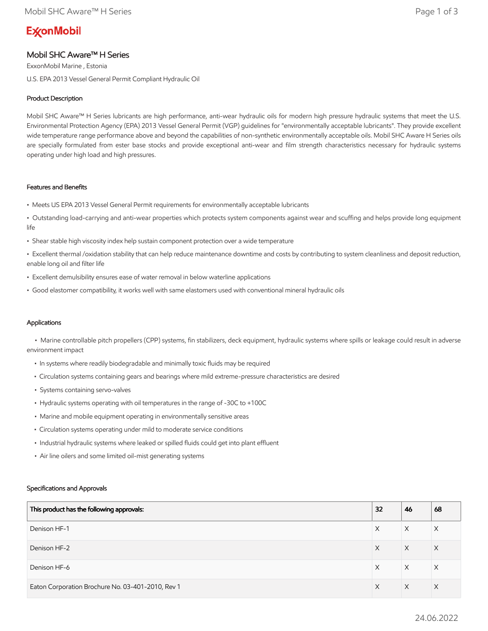# **ExconMobil**

# Mobil SHC Aware™ H Series

ExxonMobil Marine , Estonia U.S. EPA 2013 Vessel General Permit Compliant Hydraulic Oil

# Product Description

Mobil SHC Aware™ H Series lubricants are high performance, anti-wear hydraulic oils for modern high pressure hydraulic systems that meet the U.S. Environmental Protection Agency (EPA) 2013 Vessel General Permit (VGP) guidelines for "environmentally acceptable lubricants". They provide excellent wide temperature range performance above and beyond the capabilities of non-synthetic environmentally acceptable oils. Mobil SHC Aware H Series oils are specially formulated from ester base stocks and provide exceptional anti-wear and film strength characteristics necessary for hydraulic systems operating under high load and high pressures.

## Features and Benefits

- Meets US EPA 2013 Vessel General Permit requirements for environmentally acceptable lubricants
- Outstanding load-carrying and anti-wear properties which protects system components against wear and scuffing and helps provide long equipment life
- Shear stable high viscosity index help sustain component protection over a wide temperature
- Excellent thermal /oxidation stability that can help reduce maintenance downtime and costs by contributing to system cleanliness and deposit reduction, enable long oil and filter life
- Excellent demulsibility ensures ease of water removal in below waterline applications
- Good elastomer compatibility, it works well with same elastomers used with conventional mineral hydraulic oils

# Applications

 • Marine controllable pitch propellers (CPP) systems, fin stabilizers, deck equipment, hydraulic systems where spills or leakage could result in adverse environment impact

- In systems where readily biodegradable and minimally toxic fluids may be required
- Circulation systems containing gears and bearings where mild extreme-pressure characteristics are desired
- Systems containing servo-valves
- Hydraulic systems operating with oil temperatures in the range of -30C to +100C
- Marine and mobile equipment operating in environmentally sensitive areas
- Circulation systems operating under mild to moderate service conditions
- Industrial hydraulic systems where leaked or spilled fluids could get into plant effluent
- Air line oilers and some limited oil-mist generating systems

## Specifications and Approvals

| This product has the following approvals:         | 32 | 46 | 68       |
|---------------------------------------------------|----|----|----------|
| Denison HF-1                                      | X  | X  | Χ        |
| Denison HF-2                                      | X  | X  | $\times$ |
| Denison HF-6                                      | X  | X  | X        |
| Eaton Corporation Brochure No. 03-401-2010, Rev 1 | X  | X  | $\times$ |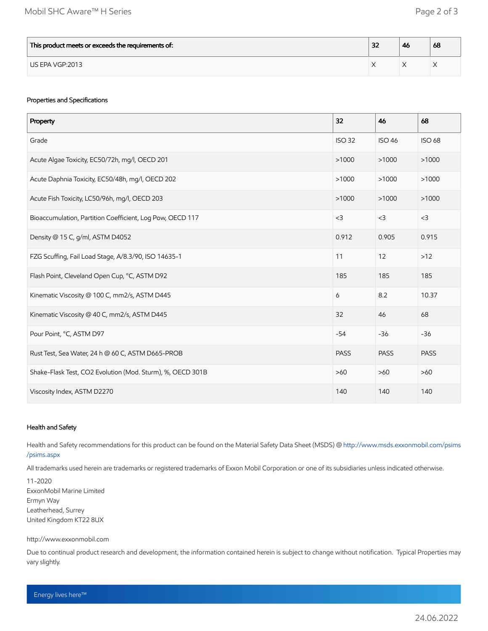| This product meets or exceeds the requirements of: | $\sim$<br>ж | -46 | 68 |
|----------------------------------------------------|-------------|-----|----|
| US EPA VGP:2013                                    |             |     |    |

# Properties and Specifications

| Property                                                   | 32            | 46            | 68            |
|------------------------------------------------------------|---------------|---------------|---------------|
| Grade                                                      | <b>ISO 32</b> | <b>ISO 46</b> | <b>ISO 68</b> |
| Acute Algae Toxicity, EC50/72h, mg/l, OECD 201             | >1000         | >1000         | >1000         |
| Acute Daphnia Toxicity, EC50/48h, mg/l, OECD 202           | >1000         | >1000         | >1000         |
| Acute Fish Toxicity, LC50/96h, mg/l, OECD 203              | >1000         | >1000         | >1000         |
| Bioaccumulation, Partition Coefficient, Log Pow, OECD 117  | $<$ 3         | $<$ 3         | $<$ 3         |
| Density @ 15 C, g/ml, ASTM D4052                           | 0.912         | 0.905         | 0.915         |
| FZG Scuffing, Fail Load Stage, A/8.3/90, ISO 14635-1       | 11            | 12            | $>12$         |
| Flash Point, Cleveland Open Cup, °C, ASTM D92              | 185           | 185           | 185           |
| Kinematic Viscosity @ 100 C, mm2/s, ASTM D445              | 6             | 8.2           | 10.37         |
| Kinematic Viscosity @ 40 C, mm2/s, ASTM D445               | 32            | 46            | 68            |
| Pour Point, °C, ASTM D97                                   | $-54$         | $-36$         | $-36$         |
| Rust Test, Sea Water, 24 h @ 60 C, ASTM D665-PROB          | <b>PASS</b>   | <b>PASS</b>   | <b>PASS</b>   |
| Shake-Flask Test, CO2 Evolution (Mod. Sturm), %, OECD 301B | $>60$         | $>60$         | $>60$         |
| Viscosity Index, ASTM D2270                                | 140           | 140           | 140           |

## Health and Safety

Health and Safety recommendations for this product can be found on the Material Safety Data Sheet (MSDS) @ [http://www.msds.exxonmobil.com/psims](http://www.msds.exxonmobil.com/psims/psims.aspx) /psims.aspx

All trademarks used herein are trademarks or registered trademarks of Exxon Mobil Corporation or one of its subsidiaries unless indicated otherwise.

11-2020 ExxonMobil Marine Limited Ermyn Way Leatherhead, Surrey United Kingdom KT22 8UX

#### http://www.exxonmobil.com

Due to continual product research and development, the information contained herein is subject to change without notification. Typical Properties may vary slightly.